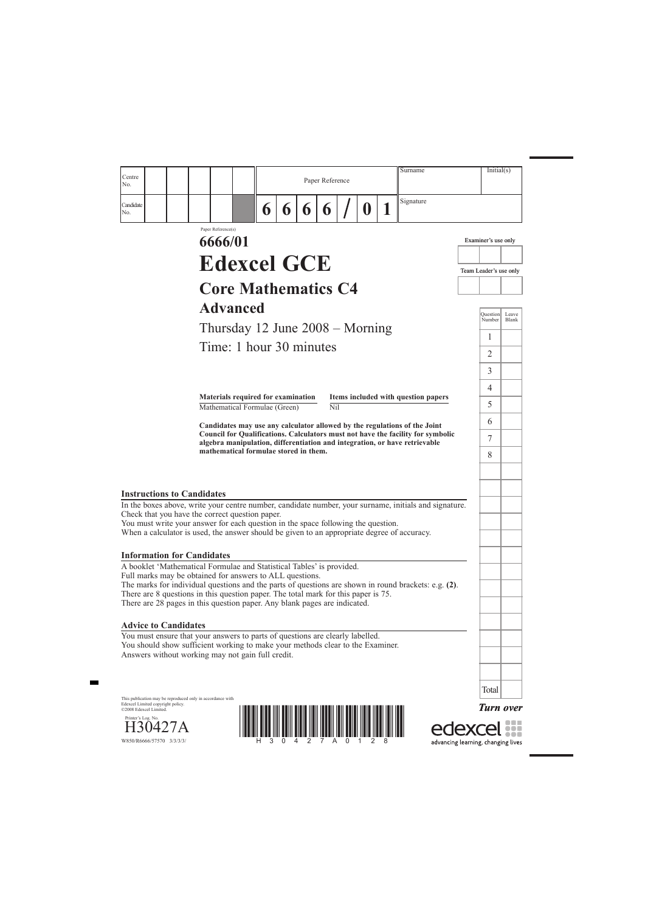

edexcel

| No.                                                                                                   |                                                                                                                                                                                                                                                                                                                                              |   |   |   | Paper Reference         |             |  | Surname                             | Initial(s)             |              |
|-------------------------------------------------------------------------------------------------------|----------------------------------------------------------------------------------------------------------------------------------------------------------------------------------------------------------------------------------------------------------------------------------------------------------------------------------------------|---|---|---|-------------------------|-------------|--|-------------------------------------|------------------------|--------------|
| Candidate<br>No.                                                                                      |                                                                                                                                                                                                                                                                                                                                              | 6 | 6 | 6 | 6                       | $\mathbf 0$ |  | Signature                           |                        |              |
|                                                                                                       | Paper Reference(s)<br>6666/01                                                                                                                                                                                                                                                                                                                |   |   |   |                         |             |  |                                     | Examiner's use only    |              |
|                                                                                                       | <b>Edexcel GCE</b>                                                                                                                                                                                                                                                                                                                           |   |   |   |                         |             |  |                                     | Team Leader's use only |              |
|                                                                                                       | <b>Core Mathematics C4</b>                                                                                                                                                                                                                                                                                                                   |   |   |   |                         |             |  |                                     |                        |              |
|                                                                                                       | <b>Advanced</b>                                                                                                                                                                                                                                                                                                                              |   |   |   |                         |             |  |                                     | <b>Question</b>        | Leave        |
|                                                                                                       | Thursday 12 June 2008 – Morning                                                                                                                                                                                                                                                                                                              |   |   |   |                         |             |  |                                     | Number                 | <b>Blank</b> |
|                                                                                                       | Time: 1 hour 30 minutes                                                                                                                                                                                                                                                                                                                      |   |   |   |                         |             |  |                                     | 1                      |              |
|                                                                                                       |                                                                                                                                                                                                                                                                                                                                              |   |   |   |                         |             |  |                                     | $\overline{2}$         |              |
|                                                                                                       |                                                                                                                                                                                                                                                                                                                                              |   |   |   |                         |             |  |                                     | 3                      |              |
|                                                                                                       | <b>Materials required for examination</b>                                                                                                                                                                                                                                                                                                    |   |   |   |                         |             |  | Items included with question papers | 4                      |              |
|                                                                                                       | Mathematical Formulae (Green)                                                                                                                                                                                                                                                                                                                |   |   |   | $\overline{\text{Nil}}$ |             |  |                                     | 5                      |              |
|                                                                                                       | Candidates may use any calculator allowed by the regulations of the Joint                                                                                                                                                                                                                                                                    |   |   |   |                         |             |  |                                     | 6                      |              |
|                                                                                                       | Council for Qualifications. Calculators must not have the facility for symbolic<br>algebra manipulation, differentiation and integration, or have retrievable                                                                                                                                                                                |   |   |   |                         |             |  |                                     | $\overline{7}$         |              |
|                                                                                                       |                                                                                                                                                                                                                                                                                                                                              |   |   |   |                         |             |  |                                     |                        |              |
|                                                                                                       | mathematical formulae stored in them.                                                                                                                                                                                                                                                                                                        |   |   |   |                         |             |  |                                     | 8                      |              |
|                                                                                                       |                                                                                                                                                                                                                                                                                                                                              |   |   |   |                         |             |  |                                     |                        |              |
|                                                                                                       | In the boxes above, write your centre number, candidate number, your surname, initials and signature.<br>Check that you have the correct question paper.<br>You must write your answer for each question in the space following the question.<br>When a calculator is used, the answer should be given to an appropriate degree of accuracy. |   |   |   |                         |             |  |                                     |                        |              |
|                                                                                                       |                                                                                                                                                                                                                                                                                                                                              |   |   |   |                         |             |  |                                     |                        |              |
|                                                                                                       | A booklet 'Mathematical Formulae and Statistical Tables' is provided.<br>Full marks may be obtained for answers to ALL questions.                                                                                                                                                                                                            |   |   |   |                         |             |  |                                     |                        |              |
|                                                                                                       | The marks for individual questions and the parts of questions are shown in round brackets: e.g. (2).<br>There are 8 questions in this question paper. The total mark for this paper is 75.<br>There are 28 pages in this question paper. Any blank pages are indicated.                                                                      |   |   |   |                         |             |  |                                     |                        |              |
|                                                                                                       |                                                                                                                                                                                                                                                                                                                                              |   |   |   |                         |             |  |                                     |                        |              |
|                                                                                                       | You must ensure that your answers to parts of questions are clearly labelled.<br>You should show sufficient working to make your methods clear to the Examiner.<br>Answers without working may not gain full credit.                                                                                                                         |   |   |   |                         |             |  |                                     |                        |              |
| <b>Instructions to Candidates</b><br><b>Information for Candidates</b><br><b>Advice to Candidates</b> |                                                                                                                                                                                                                                                                                                                                              |   |   |   |                         |             |  |                                     | Total                  |              |

W850/R6666/57570 3/3/3/3/

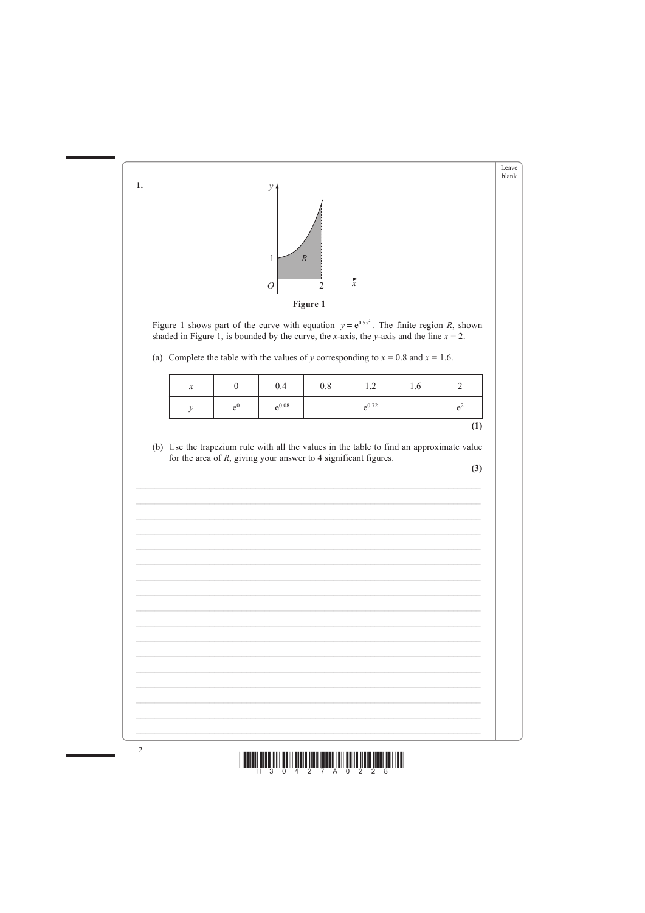



 $\overline{2}$ 

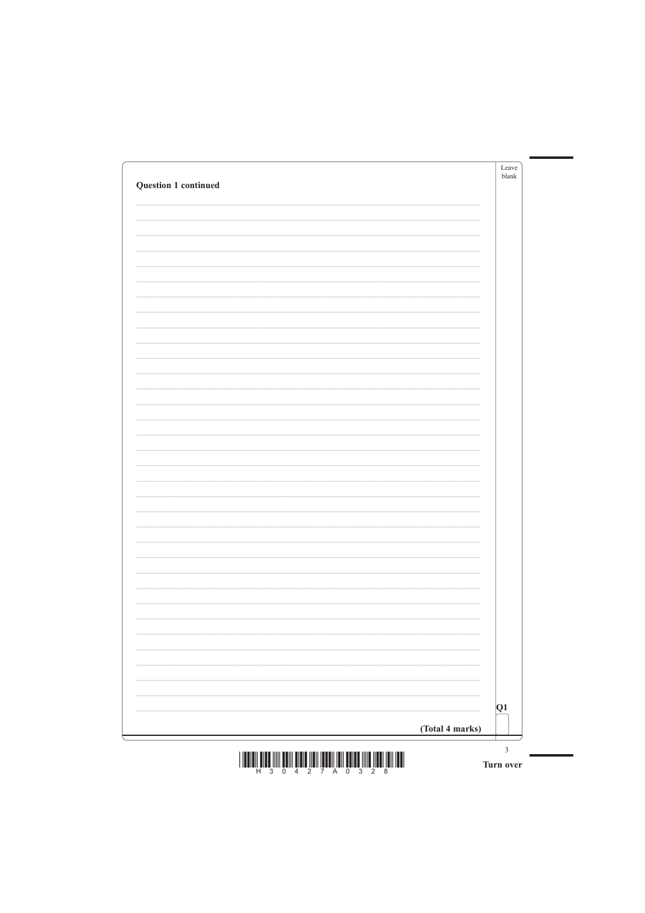| Question 1 continued | Leave<br>blank |
|----------------------|----------------|
|                      |                |
|                      |                |
|                      |                |
|                      |                |
|                      |                |
|                      |                |
|                      |                |
|                      |                |
|                      |                |
|                      |                |
|                      |                |
|                      |                |
|                      |                |
|                      |                |
|                      |                |
|                      |                |
|                      |                |
|                      |                |
|                      |                |
|                      |                |
|                      |                |
|                      |                |

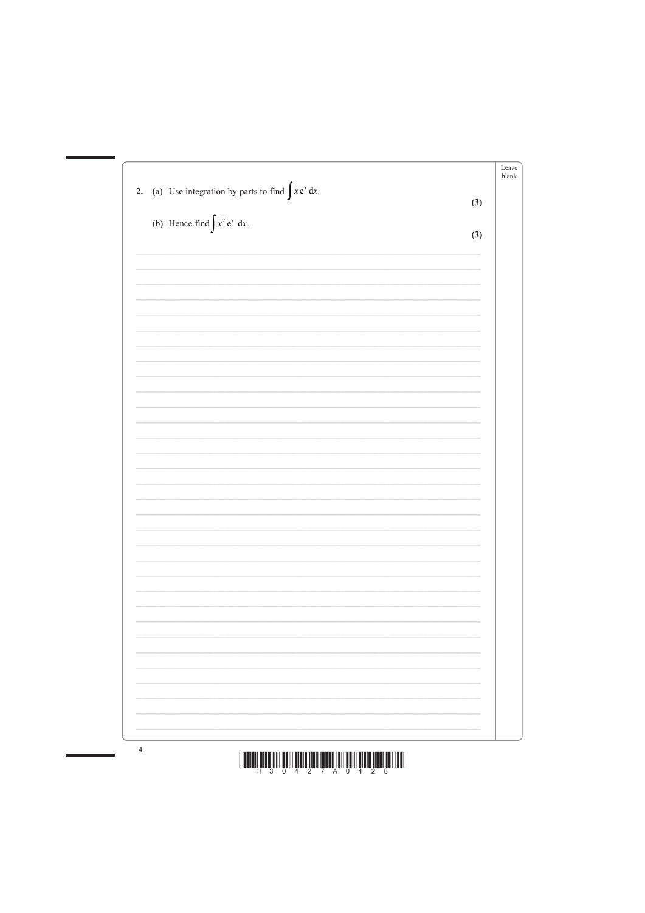|                                                             |     | Leave<br>blank |
|-------------------------------------------------------------|-----|----------------|
| (a) Use integration by parts to find $\int xe^x dx$ .<br>2. |     |                |
|                                                             | (3) |                |
| (b) Hence find $\int x^2 e^x dx$ .                          |     |                |
|                                                             | (3) |                |
|                                                             |     |                |
|                                                             |     |                |
|                                                             |     |                |
|                                                             |     |                |
|                                                             |     |                |
|                                                             |     |                |
|                                                             |     |                |
|                                                             |     |                |
|                                                             |     |                |
|                                                             |     |                |
|                                                             |     |                |
|                                                             |     |                |
|                                                             |     |                |
|                                                             |     |                |
|                                                             |     |                |
|                                                             |     |                |
|                                                             |     |                |
|                                                             |     |                |
|                                                             |     |                |
|                                                             |     |                |
|                                                             |     |                |
|                                                             |     |                |
|                                                             |     |                |
|                                                             |     |                |
|                                                             |     |                |
|                                                             |     |                |
|                                                             |     |                |
|                                                             |     |                |
|                                                             |     |                |
|                                                             |     |                |
|                                                             |     |                |
|                                                             |     |                |
|                                                             |     |                |





 $\overline{4}$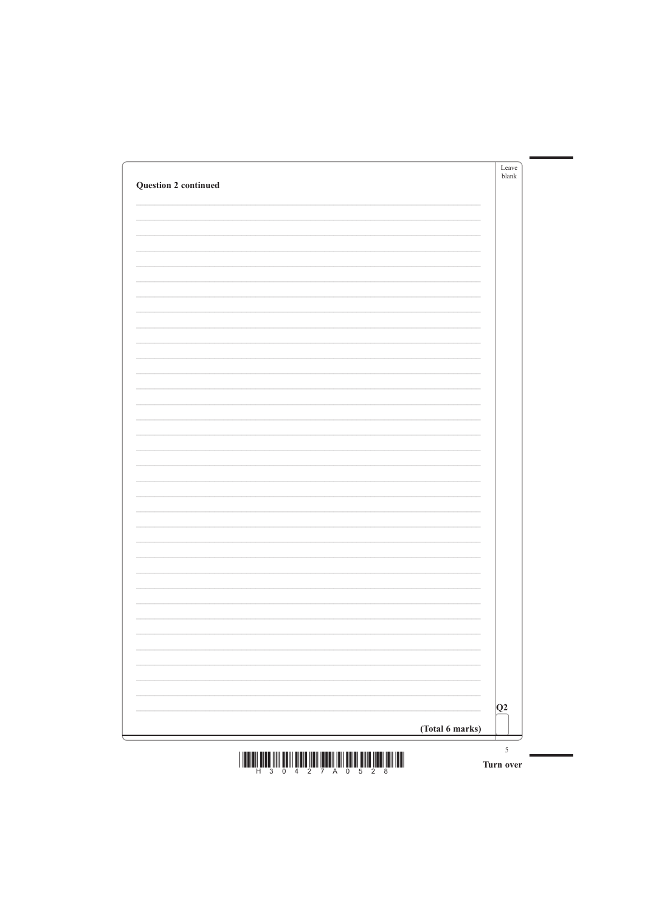| <b>Question 2 continued</b> | Leave<br>blank |
|-----------------------------|----------------|
|                             |                |
|                             |                |
|                             |                |
|                             |                |
|                             |                |
|                             |                |
|                             |                |
|                             |                |
|                             |                |
|                             |                |
|                             |                |
|                             |                |
|                             |                |
|                             |                |
|                             |                |
|                             |                |
|                             |                |
|                             |                |
|                             |                |
|                             |                |
|                             |                |

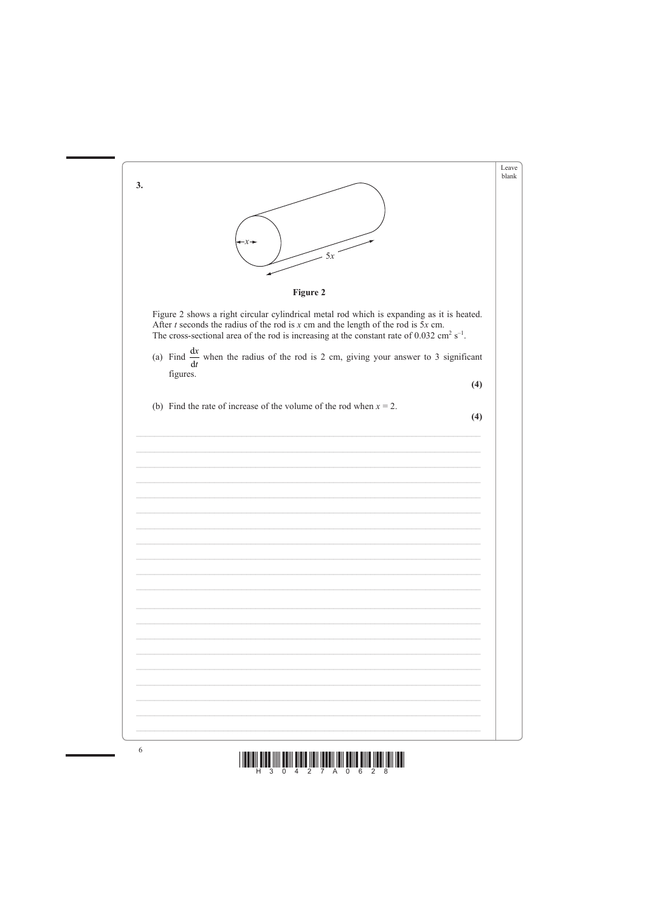



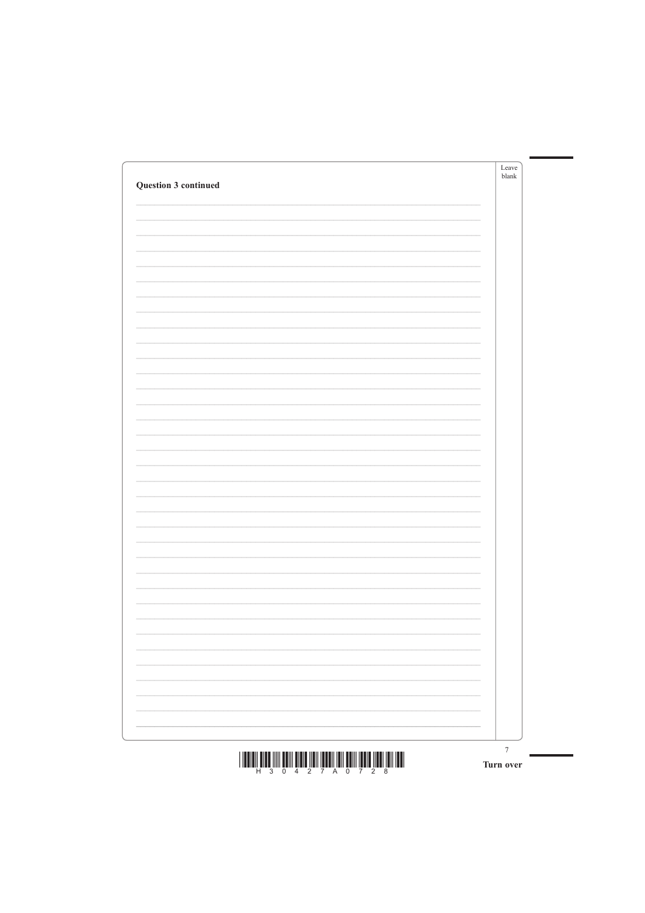| Question 3 continued | Leave<br>blank |
|----------------------|----------------|
|                      |                |
|                      |                |
|                      |                |
|                      |                |
|                      |                |
|                      |                |
|                      |                |
|                      |                |
|                      |                |
|                      |                |
|                      |                |
|                      |                |
|                      |                |
|                      |                |
|                      |                |
|                      |                |
|                      |                |
|                      |                |
|                      |                |
|                      |                |
|                      |                |



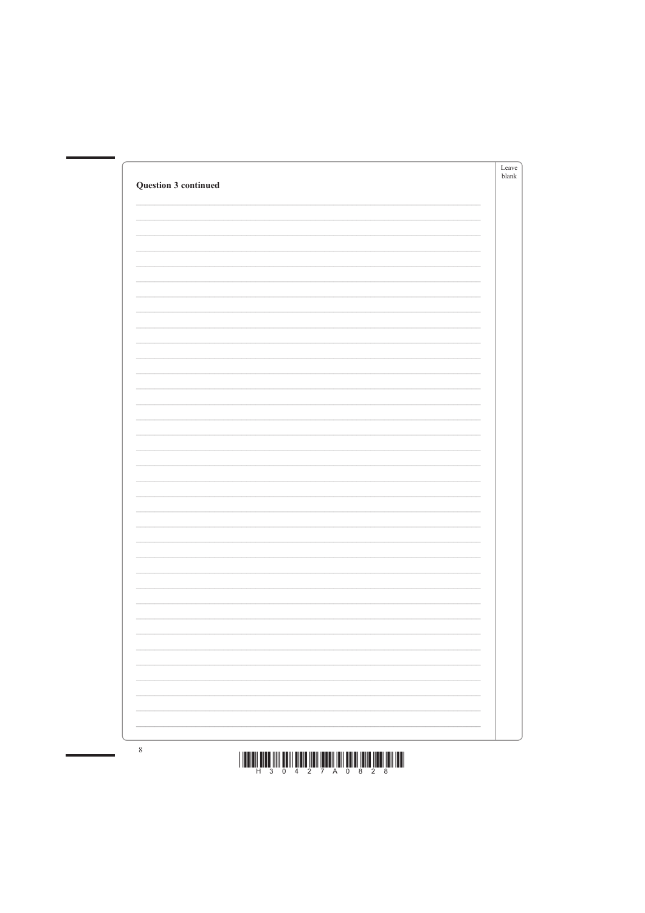| <b>Question 3 continued</b> | Leave<br>${\tt blank}$ |
|-----------------------------|------------------------|
|                             |                        |
|                             |                        |
|                             |                        |
|                             |                        |
|                             |                        |
|                             |                        |
|                             |                        |
|                             |                        |
|                             |                        |
|                             |                        |
|                             |                        |
|                             |                        |
|                             |                        |
|                             |                        |
|                             |                        |
|                             |                        |
|                             |                        |
|                             |                        |



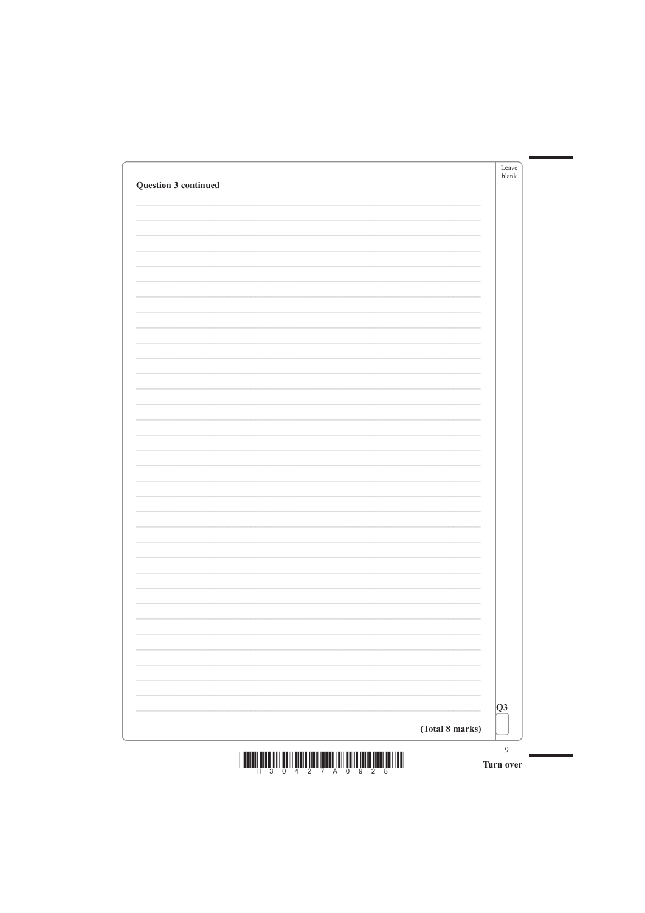| Question 3 continued | Leave<br>blank |
|----------------------|----------------|
|                      |                |
|                      |                |
|                      |                |
|                      |                |
|                      |                |
|                      |                |
|                      |                |
|                      |                |
|                      |                |
|                      |                |
|                      |                |
|                      |                |
|                      |                |
|                      |                |
|                      |                |
|                      |                |
|                      |                |
|                      |                |
|                      |                |
|                      |                |
|                      |                |

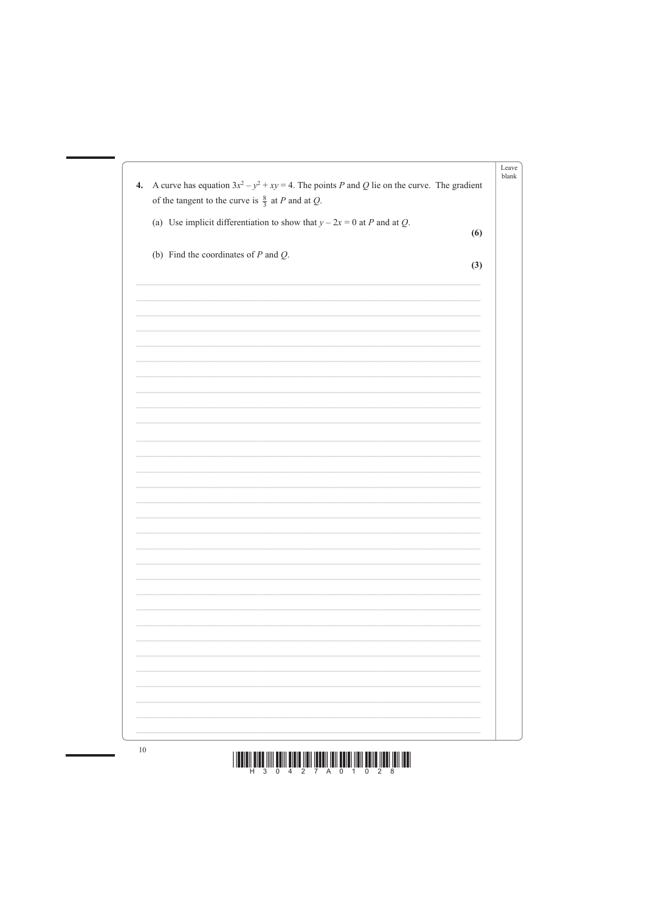| A curve has equation $3x^2 - y^2 + xy = 4$ . The points P and Q lie on the curve. The gradient<br>$\boldsymbol{4}$ .<br>of the tangent to the curve is $\frac{8}{3}$ at P and at Q. |     |
|-------------------------------------------------------------------------------------------------------------------------------------------------------------------------------------|-----|
| (a) Use implicit differentiation to show that $y - 2x = 0$ at P and at Q.                                                                                                           | (6) |
| (b) Find the coordinates of $P$ and $Q$ .                                                                                                                                           | (3) |
|                                                                                                                                                                                     |     |
|                                                                                                                                                                                     |     |
|                                                                                                                                                                                     |     |
|                                                                                                                                                                                     |     |
|                                                                                                                                                                                     |     |
|                                                                                                                                                                                     |     |
|                                                                                                                                                                                     |     |
|                                                                                                                                                                                     |     |
|                                                                                                                                                                                     |     |
|                                                                                                                                                                                     |     |
|                                                                                                                                                                                     |     |



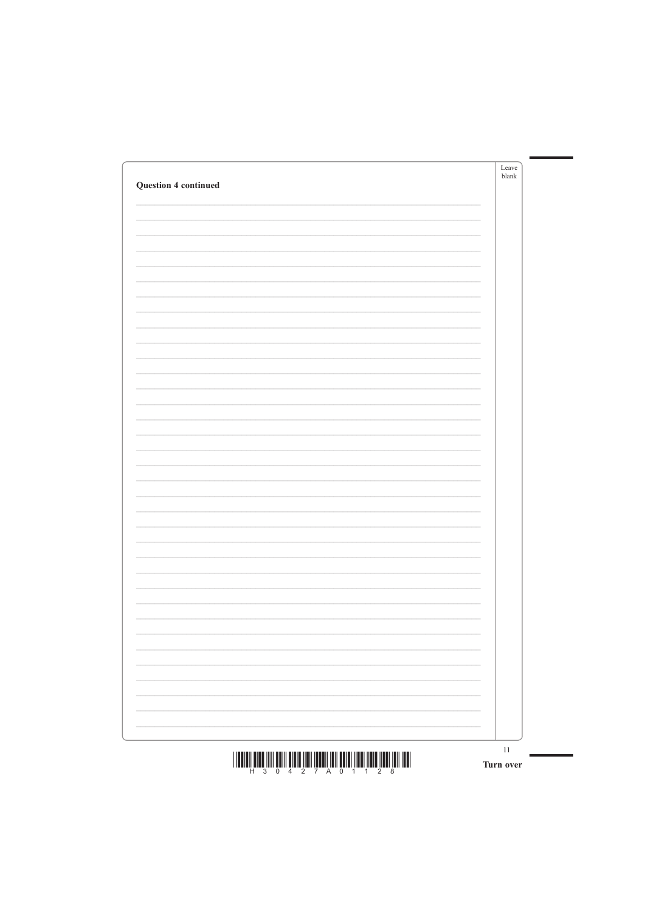| <b>Question 4 continued</b> |   | Leave<br>blank |
|-----------------------------|---|----------------|
|                             |   |                |
|                             |   |                |
|                             |   |                |
|                             |   |                |
|                             |   |                |
|                             |   |                |
|                             |   |                |
|                             |   |                |
|                             |   |                |
|                             |   |                |
|                             |   |                |
|                             |   |                |
|                             |   |                |
|                             |   |                |
|                             |   |                |
|                             |   |                |
|                             |   |                |
|                             |   |                |
|                             | - |                |
|                             |   |                |





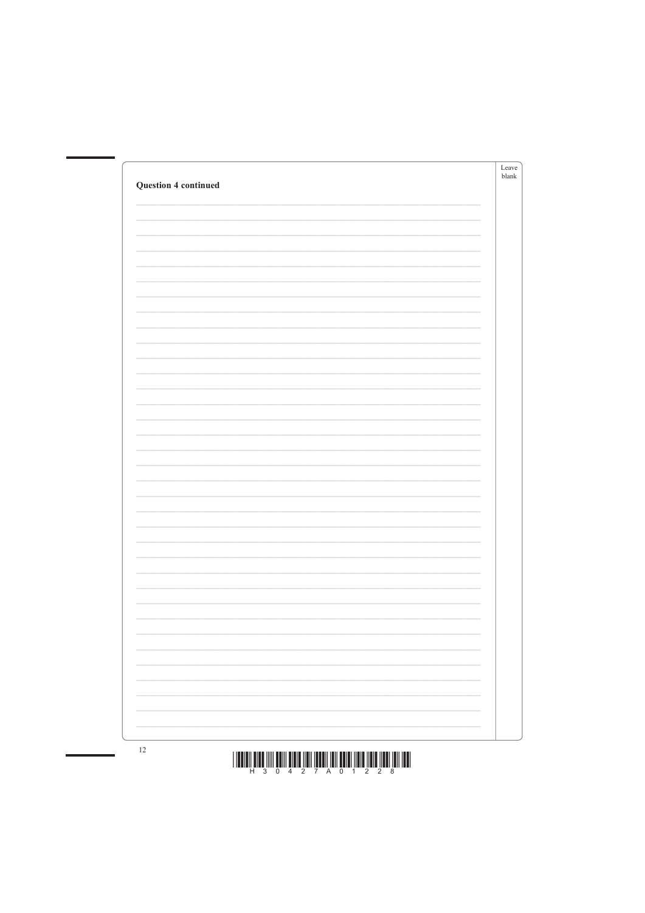| <b>Question 4 continued</b> | Leave<br>blank |
|-----------------------------|----------------|
|                             |                |
|                             |                |
|                             |                |
|                             |                |
|                             |                |
|                             |                |
|                             |                |
|                             |                |
|                             |                |
|                             |                |
|                             |                |
|                             |                |
|                             |                |
|                             |                |
|                             |                |
|                             |                |
|                             |                |
|                             |                |
|                             |                |
|                             |                |
|                             |                |



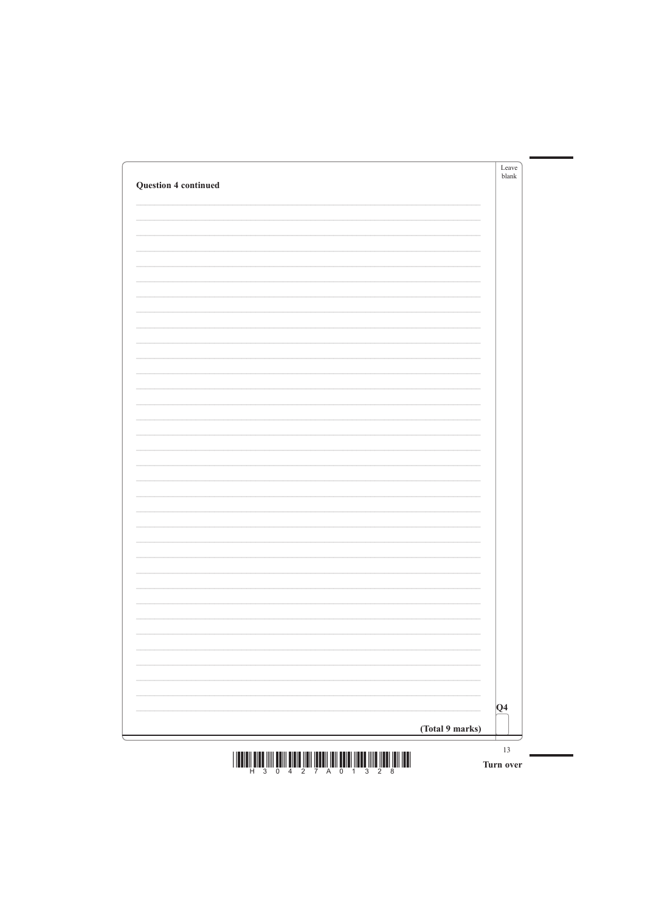| <b>Question 4 continued</b> |   | Leave<br>blank |
|-----------------------------|---|----------------|
|                             |   |                |
|                             |   |                |
|                             |   |                |
|                             |   |                |
|                             |   |                |
|                             |   |                |
|                             |   |                |
|                             |   |                |
|                             |   |                |
|                             |   |                |
|                             |   |                |
|                             |   |                |
|                             |   |                |
|                             |   |                |
|                             |   |                |
|                             |   |                |
|                             |   |                |
|                             |   |                |
|                             | - |                |
|                             |   |                |

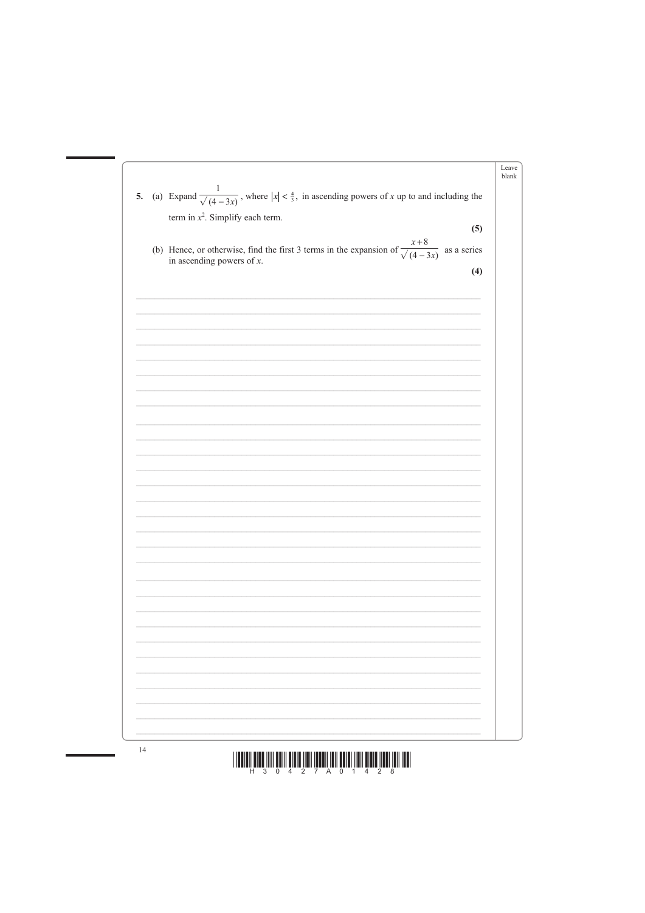| 5. | (a) Expand $\frac{1}{\sqrt{(4-3x)}}$ , where $ x  < \frac{4}{3}$ , in ascending powers of x up to and including the                   |
|----|---------------------------------------------------------------------------------------------------------------------------------------|
|    | term in $x^2$ . Simplify each term.                                                                                                   |
|    | (5)                                                                                                                                   |
|    | (b) Hence, or otherwise, find the first 3 terms in the expansion of $\frac{x+8}{\sqrt{(4-3x)}}$ as a series in ascending powers of x. |
|    | (4)                                                                                                                                   |
|    |                                                                                                                                       |
|    |                                                                                                                                       |
|    |                                                                                                                                       |
|    |                                                                                                                                       |
|    |                                                                                                                                       |
|    |                                                                                                                                       |
|    |                                                                                                                                       |
|    |                                                                                                                                       |
|    |                                                                                                                                       |
|    |                                                                                                                                       |
|    |                                                                                                                                       |
|    |                                                                                                                                       |
|    |                                                                                                                                       |
|    |                                                                                                                                       |
|    |                                                                                                                                       |
|    |                                                                                                                                       |
|    |                                                                                                                                       |
|    |                                                                                                                                       |
|    |                                                                                                                                       |
|    |                                                                                                                                       |
|    |                                                                                                                                       |
|    |                                                                                                                                       |
|    |                                                                                                                                       |
|    |                                                                                                                                       |
|    |                                                                                                                                       |
|    |                                                                                                                                       |



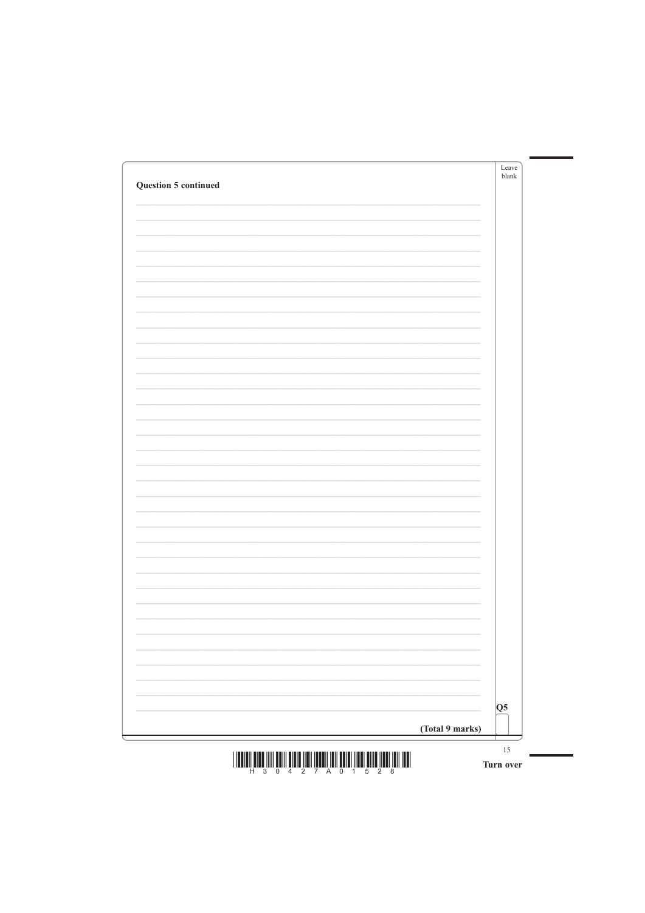| <b>Question 5 continued</b> | Leave<br>blank |
|-----------------------------|----------------|
|                             |                |
|                             |                |
|                             |                |
|                             |                |
|                             |                |
|                             |                |
|                             |                |
|                             |                |
|                             |                |
|                             |                |
|                             |                |
|                             |                |
|                             |                |
|                             |                |
|                             |                |
|                             |                |
|                             |                |
|                             |                |
|                             |                |
|                             |                |
|                             |                |
|                             |                |

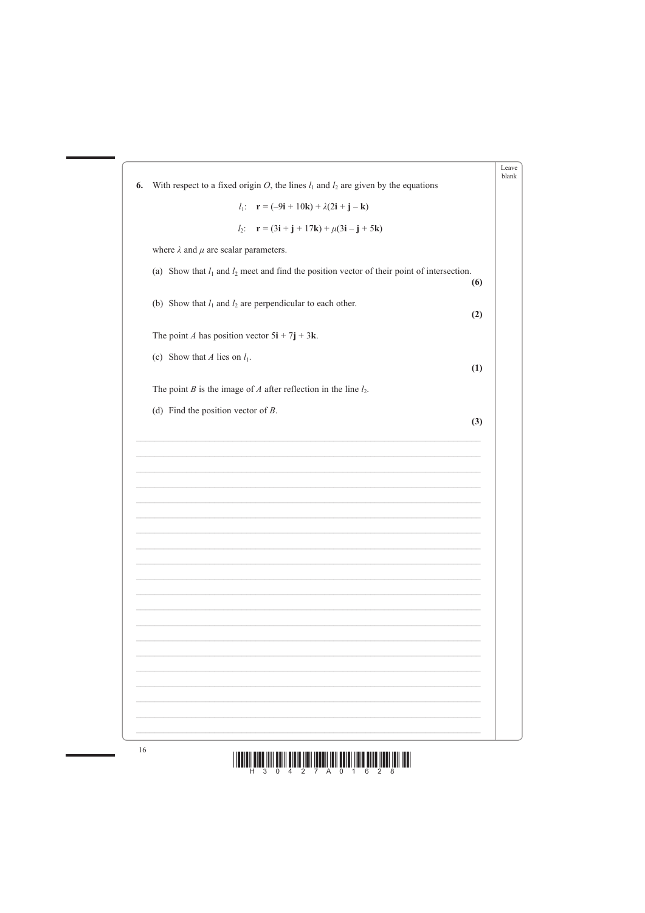| 6. | With respect to a fixed origin $O$ , the lines $l_1$ and $l_2$ are given by the equations                             |
|----|-----------------------------------------------------------------------------------------------------------------------|
|    | <i>l</i> <sub>1</sub> : $\mathbf{r} = (-9\mathbf{i} + 10\mathbf{k}) + \lambda(2\mathbf{i} + \mathbf{j} - \mathbf{k})$ |
|    | $l_2$ : $\mathbf{r} = (3\mathbf{i} + \mathbf{j} + 17\mathbf{k}) + \mu(3\mathbf{i} - \mathbf{j} + 5\mathbf{k})$        |
|    | where $\lambda$ and $\mu$ are scalar parameters.                                                                      |
|    | (a) Show that $l_1$ and $l_2$ meet and find the position vector of their point of intersection.<br>(6)                |
|    | (b) Show that $l_1$ and $l_2$ are perpendicular to each other.<br>(2)                                                 |
|    | The point A has position vector $5i + 7j + 3k$ .                                                                      |
|    | (c) Show that A lies on $l_1$ .<br>(1)                                                                                |
|    | The point <i>B</i> is the image of <i>A</i> after reflection in the line $l_2$ .                                      |
|    | (d) Find the position vector of $B$ .<br>(3)                                                                          |
|    |                                                                                                                       |
|    |                                                                                                                       |
|    |                                                                                                                       |
|    |                                                                                                                       |
|    |                                                                                                                       |
|    |                                                                                                                       |
|    |                                                                                                                       |
|    |                                                                                                                       |
|    |                                                                                                                       |



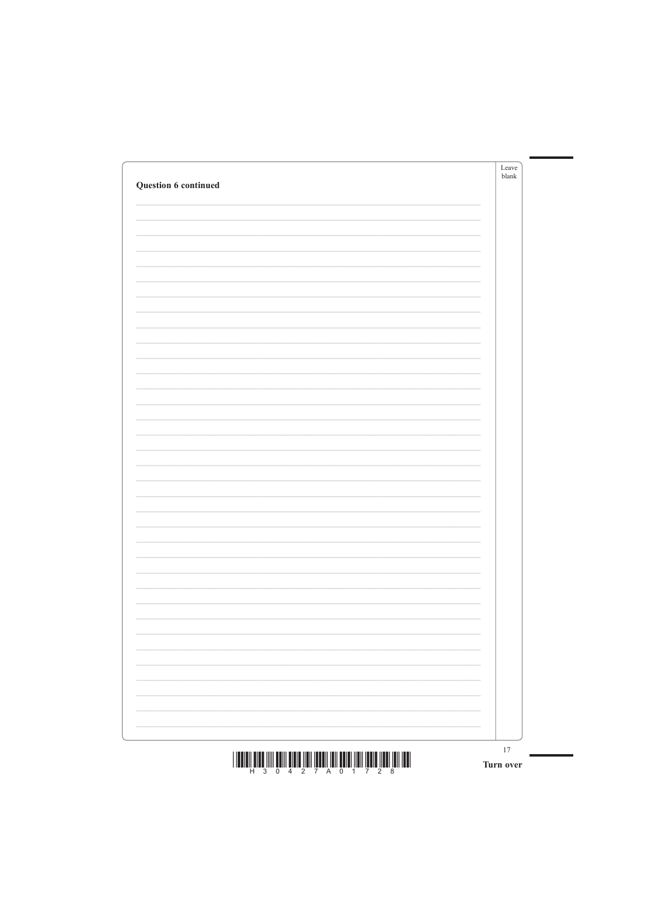| Question 6 continued |   | Leave<br>blank |
|----------------------|---|----------------|
|                      |   |                |
|                      |   |                |
|                      |   |                |
|                      |   |                |
|                      |   |                |
|                      |   |                |
|                      |   |                |
|                      |   |                |
|                      |   |                |
|                      |   |                |
|                      |   |                |
|                      |   |                |
|                      |   |                |
|                      |   |                |
|                      |   |                |
|                      |   |                |
|                      |   |                |
|                      |   |                |
|                      | - |                |
|                      |   |                |

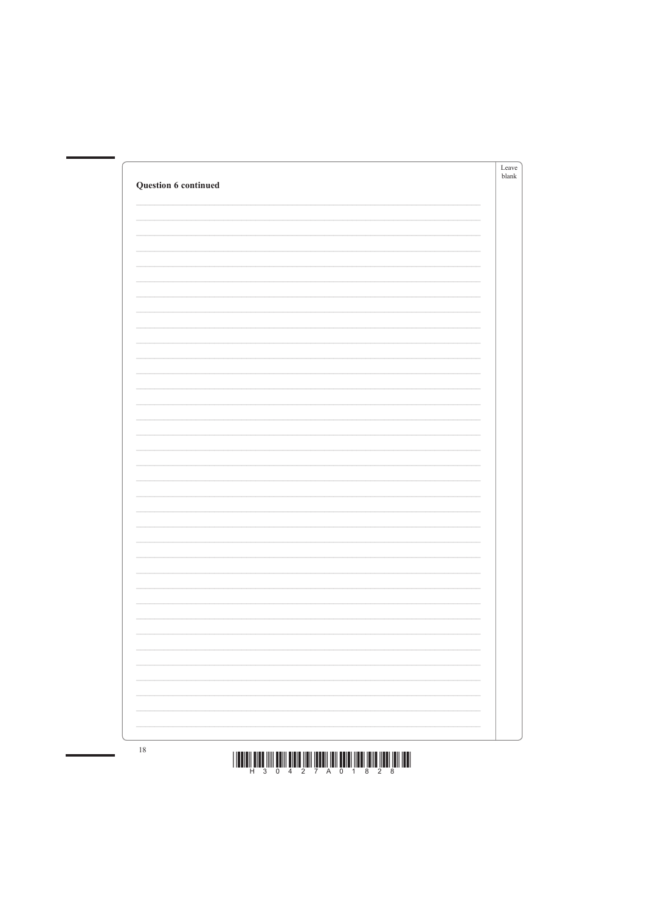| Question 6 continued | Leave<br>blank |
|----------------------|----------------|
|                      |                |
|                      |                |
|                      |                |
|                      |                |
|                      |                |
|                      |                |
|                      |                |
|                      |                |
|                      |                |
|                      |                |
|                      |                |
|                      |                |
|                      |                |
|                      |                |
|                      |                |
|                      |                |
|                      |                |
|                      |                |
|                      |                |
|                      |                |
|                      |                |
|                      |                |
|                      |                |



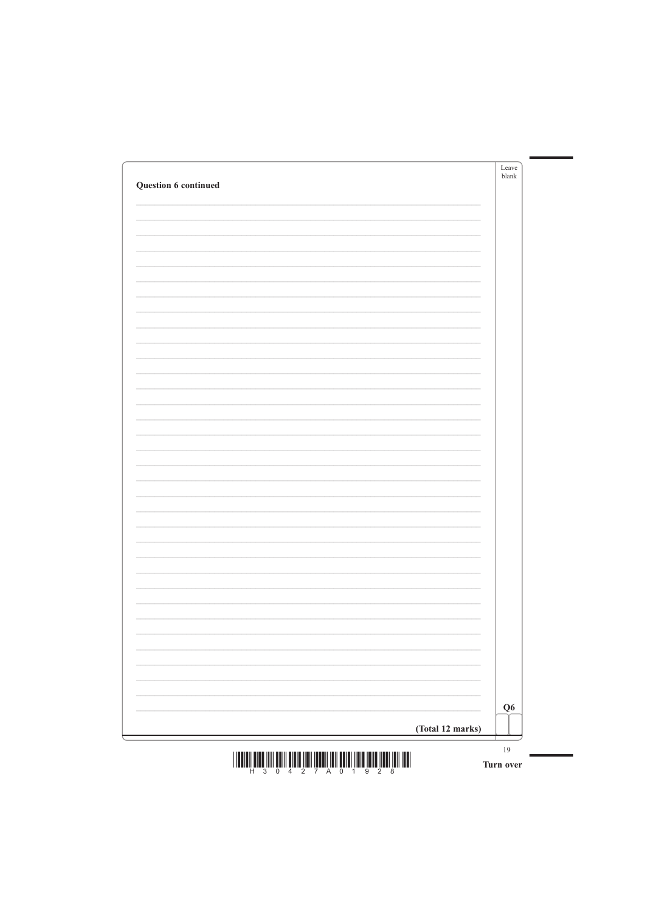| Question 6 continued |   | Leave<br>blank |
|----------------------|---|----------------|
|                      |   |                |
|                      |   |                |
|                      |   |                |
|                      |   |                |
|                      |   |                |
|                      |   |                |
|                      |   |                |
|                      |   |                |
|                      |   |                |
|                      |   |                |
|                      |   |                |
|                      |   |                |
|                      |   |                |
|                      |   |                |
|                      |   |                |
|                      |   |                |
|                      |   |                |
|                      |   |                |
|                      | - |                |
|                      |   |                |

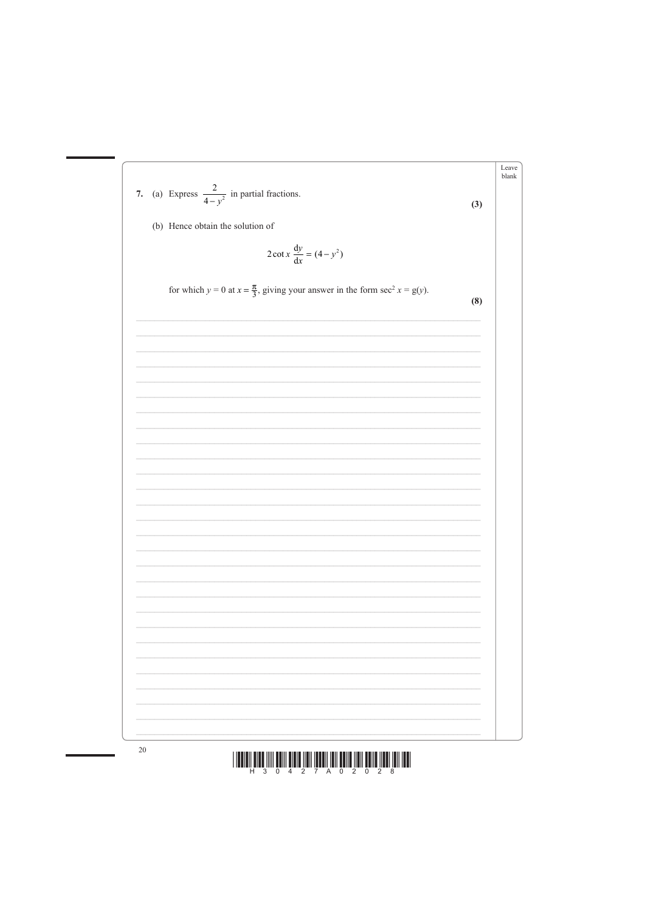



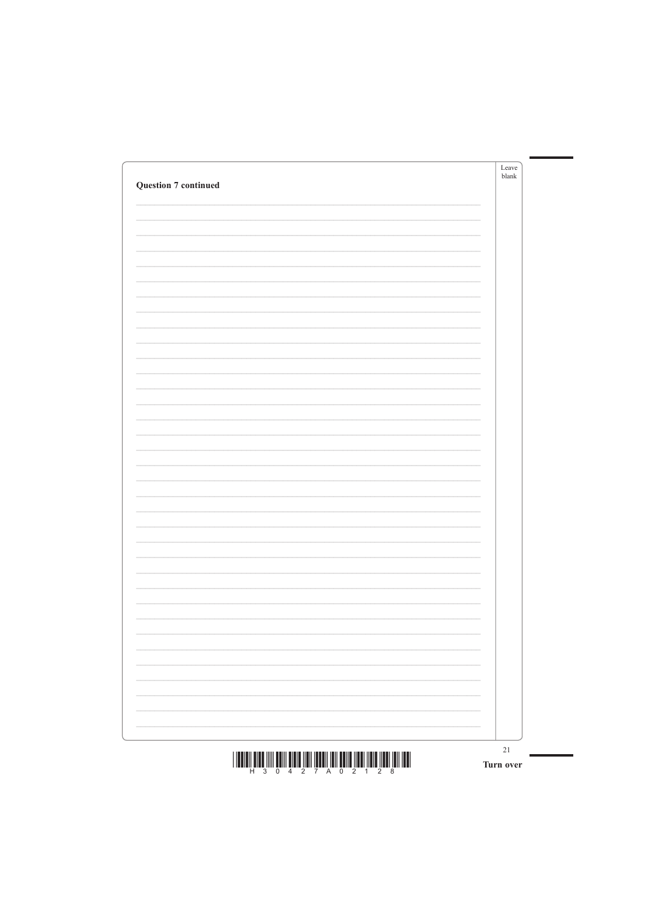| <b>Question 7 continued</b> | Leave<br>blank |
|-----------------------------|----------------|
|                             |                |
|                             |                |
|                             |                |
|                             |                |
|                             |                |
|                             |                |
|                             |                |
|                             |                |
|                             |                |
|                             |                |
|                             |                |
|                             |                |
|                             |                |
|                             |                |
|                             |                |
|                             |                |
|                             |                |
|                             |                |
|                             |                |
|                             |                |

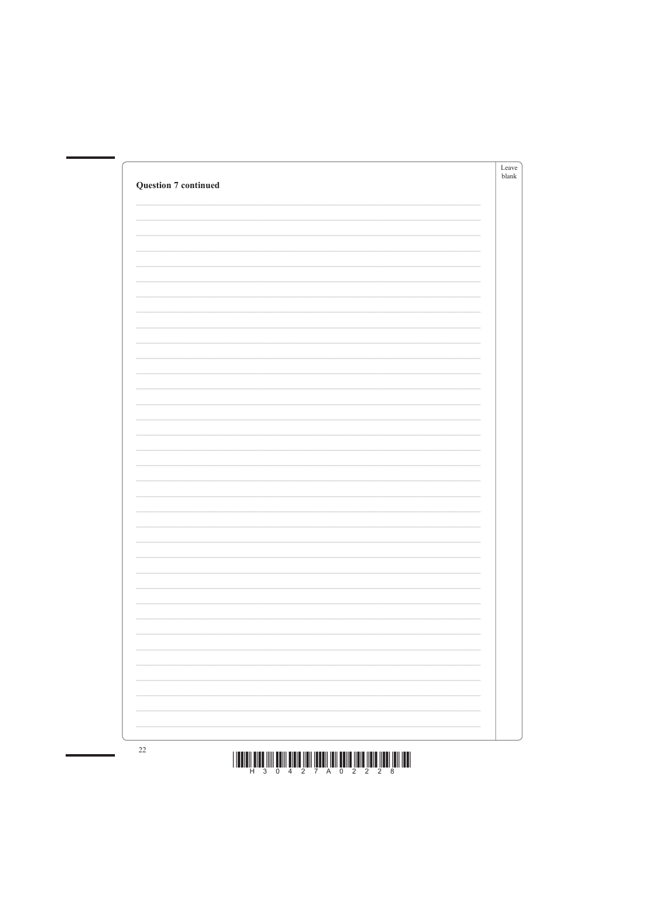| <b>Question 7 continued</b> | Leave<br>blank |
|-----------------------------|----------------|
|                             |                |
|                             |                |
|                             |                |
|                             |                |
|                             |                |
|                             |                |
|                             |                |
|                             |                |
|                             |                |
|                             |                |
|                             |                |
|                             |                |
|                             |                |
|                             |                |
|                             |                |
|                             |                |
|                             |                |
|                             |                |
|                             |                |
|                             |                |
|                             |                |
|                             |                |
|                             |                |
|                             |                |



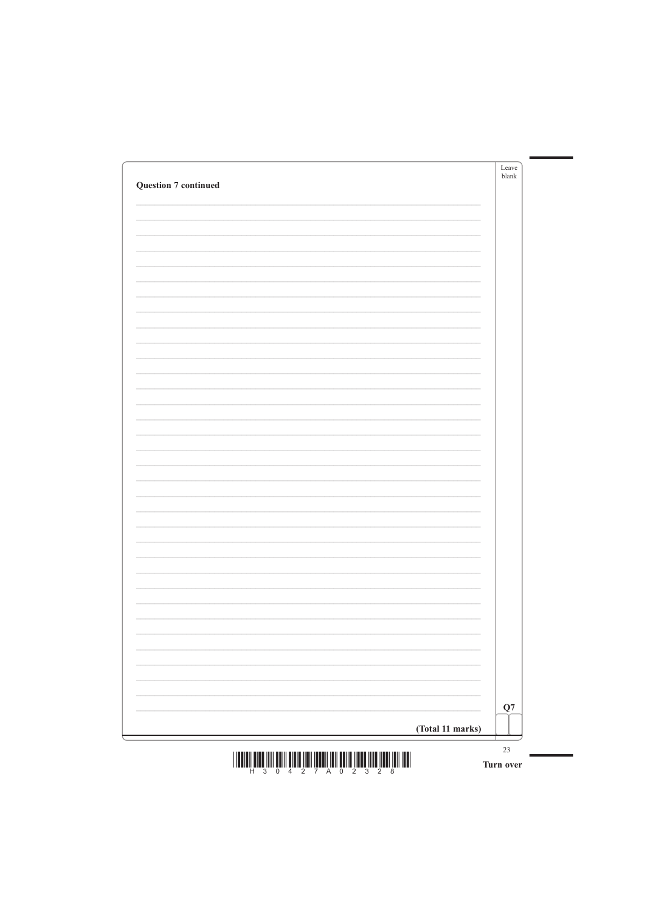| Leave<br>blank | <b>Question 7 continued</b> |
|----------------|-----------------------------|
|                |                             |
|                |                             |
|                |                             |
|                |                             |
|                |                             |
|                |                             |
|                |                             |
|                |                             |
|                |                             |
|                |                             |
|                |                             |
|                |                             |
|                |                             |
|                |                             |
|                |                             |
|                |                             |
|                |                             |
|                |                             |
|                |                             |
|                |                             |

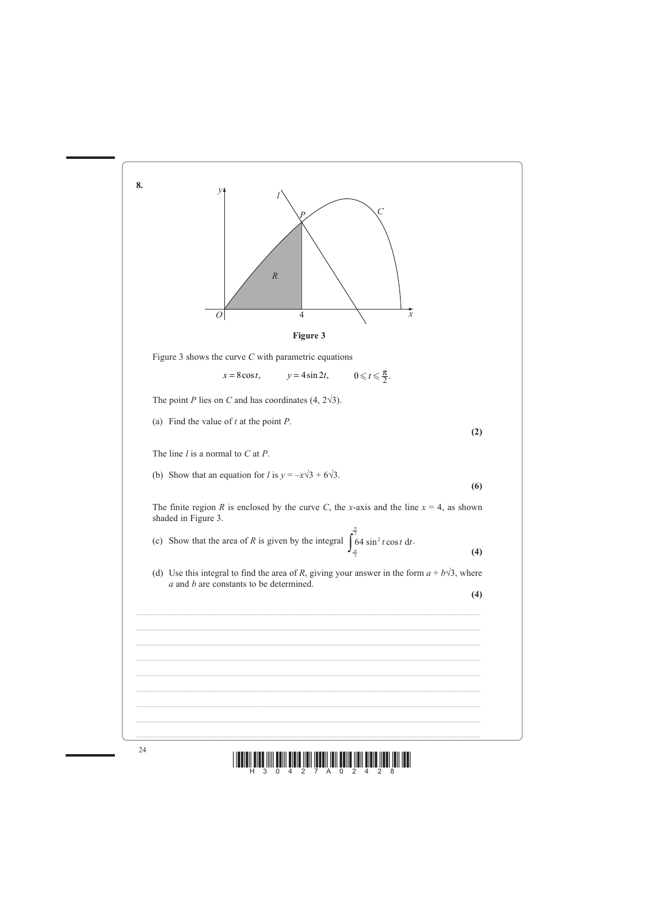



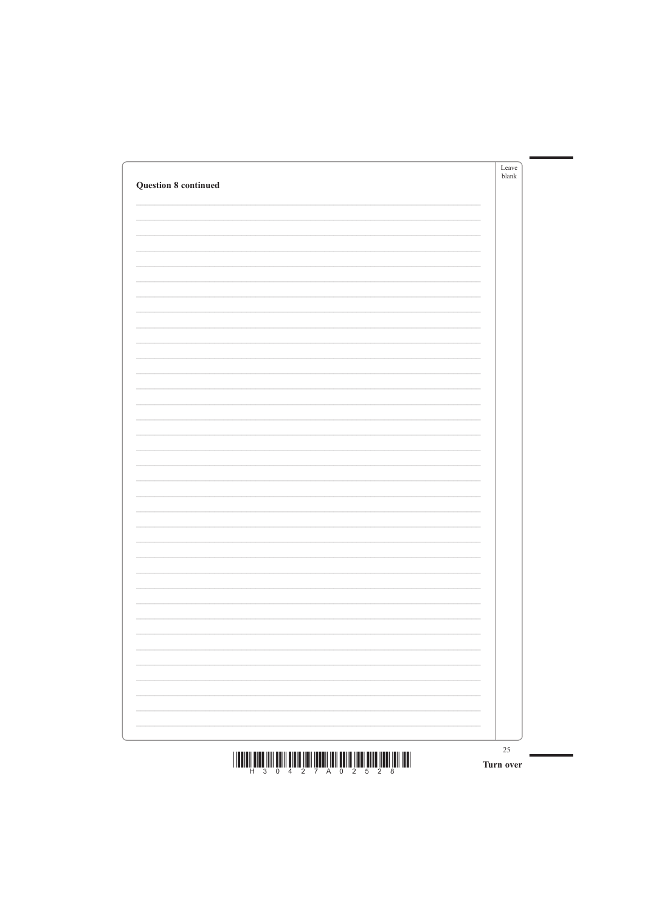| <b>Question 8 continued</b> |   | Leave<br>blank |
|-----------------------------|---|----------------|
|                             |   |                |
|                             |   |                |
|                             |   |                |
|                             |   |                |
|                             |   |                |
|                             |   |                |
|                             |   |                |
|                             |   |                |
|                             |   |                |
|                             |   |                |
|                             |   |                |
|                             |   |                |
|                             |   |                |
|                             |   |                |
|                             |   |                |
|                             |   |                |
|                             |   |                |
|                             |   |                |
|                             | - |                |
|                             |   |                |

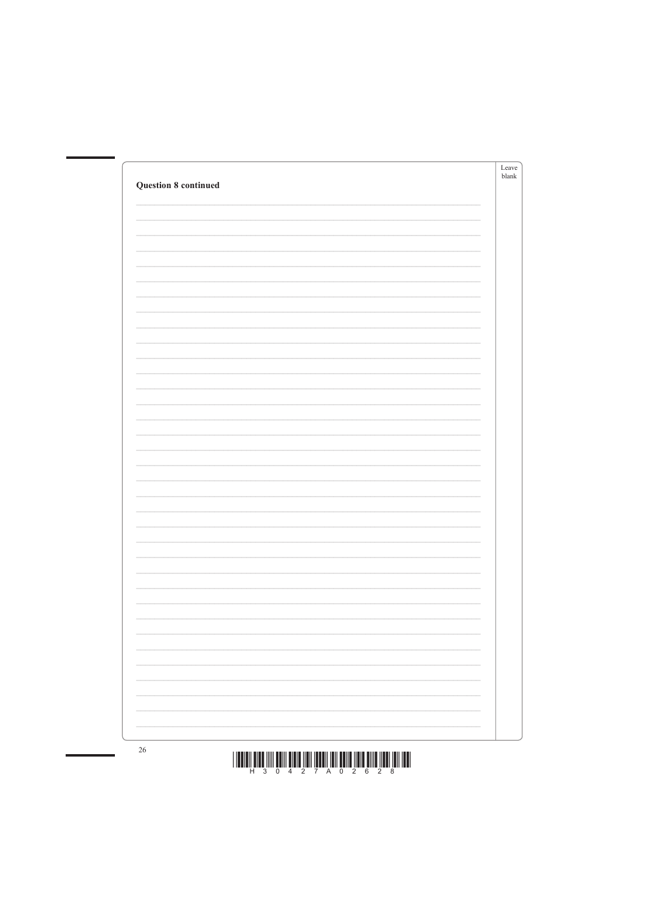| <b>Question 8 continued</b> | Leave<br>${\tt blank}$ |
|-----------------------------|------------------------|
|                             |                        |
|                             |                        |
|                             |                        |
|                             |                        |
|                             |                        |
|                             |                        |
|                             |                        |
|                             |                        |
|                             |                        |
|                             |                        |
|                             |                        |
|                             |                        |
|                             |                        |
|                             |                        |
|                             |                        |
|                             |                        |
|                             |                        |
|                             |                        |
|                             |                        |



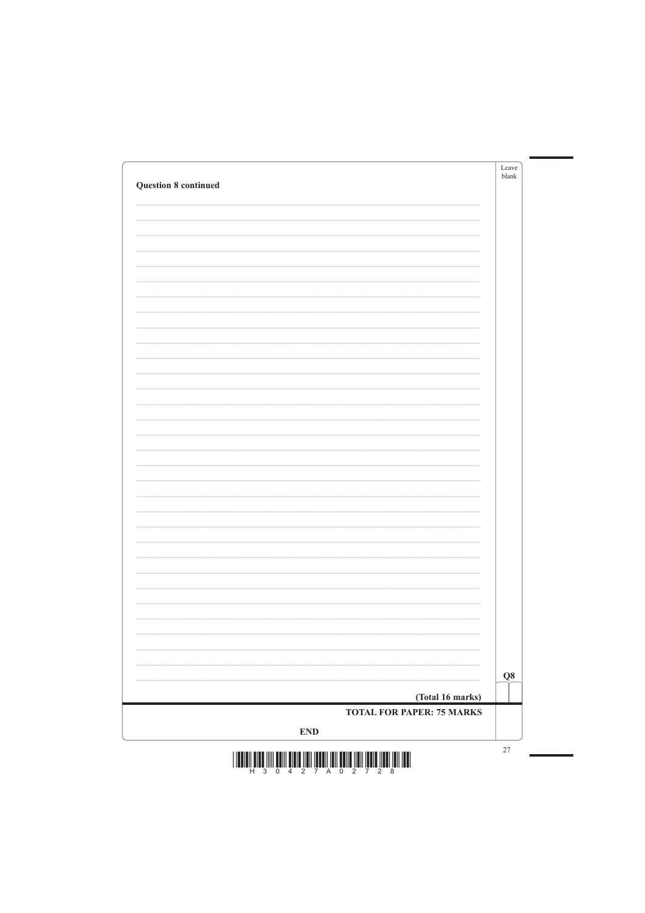| <b>Question 8 continued</b> | Leave<br>$b$ lank       |
|-----------------------------|-------------------------|
|                             |                         |
|                             |                         |
|                             |                         |
|                             |                         |
|                             |                         |
|                             |                         |
|                             |                         |
|                             |                         |
|                             |                         |
|                             |                         |
|                             |                         |
|                             |                         |
|                             |                         |
|                             |                         |
|                             |                         |
|                             |                         |
|                             |                         |
|                             |                         |
|                             |                         |
|                             |                         |
|                             |                         |
|                             |                         |
|                             |                         |
|                             |                         |
|                             |                         |
|                             | $\overline{\mathbf{Q}}$ |